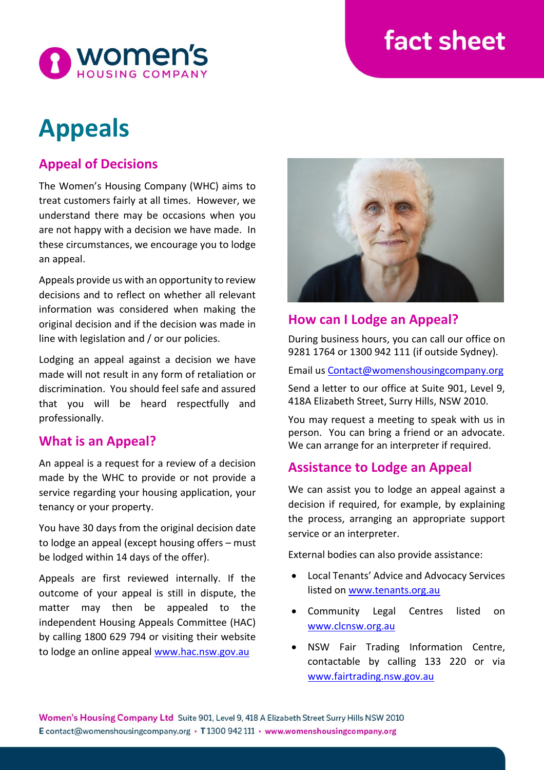# fact sheet



# **Appeals**

# **Appeal of Decisions**

The Women's Housing Company (WHC) aims to treat customers fairly at all times. However, we understand there may be occasions when you are not happy with a decision we have made. In these circumstances, we encourage you to lodge an appeal.

Appeals provide us with an opportunity to review decisions and to reflect on whether all relevant information was considered when making the original decision and if the decision was made in line with legislation and / or our policies.

Lodging an appeal against a decision we have made will not result in any form of retaliation or discrimination. You should feel safe and assured that you will be heard respectfully and professionally.

# **What is an Appeal?**

An appeal is a request for a review of a decision made by the WHC to provide or not provide a service regarding your housing application, your tenancy or your property.

You have 30 days from the original decision date to lodge an appeal (except housing offers – must be lodged within 14 days of the offer).

Appeals are first reviewed internally. If the outcome of your appeal is still in dispute, the matter may then be appealed to the independent Housing Appeals Committee (HAC) by calling 1800 629 794 or visiting their website to lodge an online appeal [www.hac.nsw.gov.au](http://www.hac.nsw.gov.au/)



## **How can I Lodge an Appeal?**

During business hours, you can call our office on 9281 1764 or 1300 942 111 (if outside Sydney).

Email us [Contact@womenshousingcompany.org](mailto:Contact@womenshousingcompany.org)

Send a letter to our office at Suite 901, Level 9, 418A Elizabeth Street, Surry Hills, NSW 2010.

You may request a meeting to speak with us in person. You can bring a friend or an advocate. We can arrange for an interpreter if required.

# **Assistance to Lodge an Appeal**

We can assist you to lodge an appeal against a decision if required, for example, by explaining the process, arranging an appropriate support service or an interpreter.

External bodies can also provide assistance:

- Local Tenants' Advice and Advocacy Services listed on [www.tenants.org.au](http://www.tenants.org.au/)
- Community Legal Centres listed on [www.clcnsw.org.au](http://www.clcnsw.org.au/)
- NSW Fair Trading Information Centre, contactable by calling 133 220 or via [www.fairtrading.nsw.gov.au](http://www.fairtrading.nsw.gov.au/)